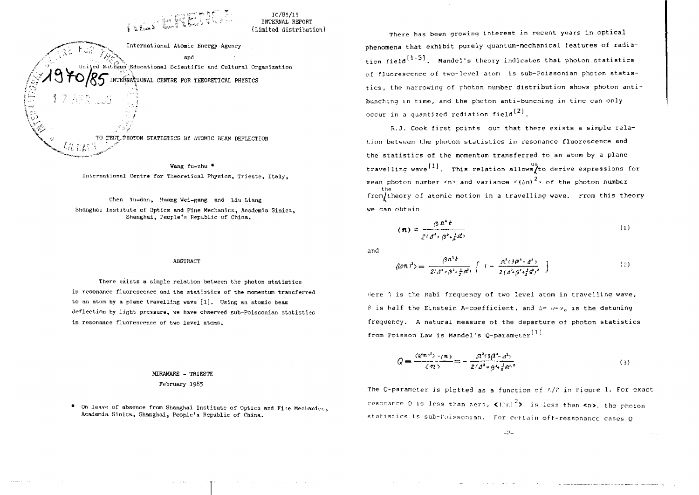$IC/85/15$  $I$ NTERNAL REPORT (Limited distribution)

International Atomic Energy Agency and ed Nations Educational Scientific and Cultural Organization INTERNATIONAL CENTRE FOR THEORETICAL PHYSICS

PHOTON STATISTICS BY ATOMIC BEAM DEFLECTION

**/:?**

**1 1 /-.••:**

Wang Yu-zhu \* International Centre for Theoretical Physics, Trieste, Italy.

Chen Yu-dan, Huang Wei-gang and Liu Liang Shanghai Institute of Optics and Fine Mechanics, Academia Sinica, Shanghai, People's Republic of China.

## ABSTRACT

There exists a simple relation between the photon statistics in resonance fluorescence and the statistics of the momentum transferred to an atom by a plane travelling wave [l]. Using an atomic beam deflection by light pressure, we have observed sub-Poissonian statistics in resonance fluorescence of two level atoms.

## MIRAMABE - TRIESTE February 1965

\* On leave of absence from Shanghai Institute of Optics and Fine Mechanics, Academia Sinica, Shanghai, People's Republic of China.

There has been growing interest in recent years in optical **phenomena that** exhibit purely quantum-mechanical features of radiation field  $[1-5]$ , Mandel's theory indicates that photon statistics of fluorescence of two-level atom is sub-Poissonian photon statistics, the narrowing of photon number distribution shows photon antibunching in time, and the photon anti-bunching in time can only occur in a quantized rediation field<sup>[2]</sup>.

R.J. Cook first points out that there exists a simple relation between the photon statistics in resonance fluorescence and the statistics of the momentum transferred to an atom by a plane us<br>using relation allows: travelling wave . This relation allows/to derive expressions for mean photon number  $\langle n \rangle$  and variance  $\langle (n) \rangle^2$  of the photon number the from/theory of atomic motion in a travelling wave. From this theory we can obtain

$$
\langle \boldsymbol{\pi} \rangle = \frac{\beta \, \boldsymbol{\Omega}^2 \, \boldsymbol{t}}{2 \, (\, \boldsymbol{\delta}^2 + \, \boldsymbol{\beta}^2 \cdot \, \boldsymbol{\xi} \, \boldsymbol{\Omega}^2)} \tag{1}
$$

and

$$
\langle (\partial \mathcal{D})^2 \rangle = \frac{\beta \mathcal{D}^2 t}{2(\mathcal{J}^2 + \beta^2 + \frac{1}{2} g t)} \left\{ I - \frac{\mathcal{D}^2 (\partial \beta^2 - \mathcal{J}^2)}{2(\mathcal{J}^2 + \beta^2 + \frac{1}{2} g^2)} I \right\} \tag{2}
$$

Here  $\Omega$  is the Rabi frequency of two level atom in travelling wave, B is half the Einstein A-coefficient, and  $\Delta = 10 - 10$  is the detuning frequency. A natural measure of the departure of photon statistics from Poisson Law is Mandel's O-parameter<sup>[1]</sup>

$$
Q = \frac{\langle \mathcal{Q}n^2 \rangle \cdot \langle n \rangle}{\langle n \rangle} = -\frac{\mathcal{R}^2 \cdot 3 \beta^2 - \beta^2}{2(\beta^2 + \beta^2 + \frac{1}{2} \alpha^2)^2}
$$
 (3)

The Q-parameter is plotted as a function of A/f in Figure 1. For exact resorance Q is less than zero,  $\langle$ Cnl<sup>2</sup>> is less than  $\langle n \rangle$ , the photon statistics is sub-foissonian. For certain off-ressonance cases 0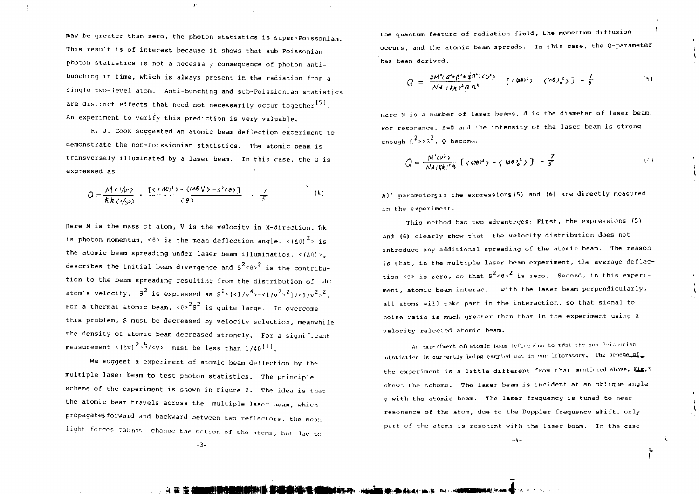may be greater than zero, the photon statistics is Super-Poissonian. This result is of interest because it shows that sub-Poissonian photon statistics is not a necessa  $\gamma$  consequence of photon antibunching in time, which is always present in the radiation from a single two-level atom. Anti-bunching and sub-Poissionian statistics are distinct effects that need not necessarily occur together<sup>[5]</sup>. An experiment to verify this prediction is very valuable.

 $\mathbf{f}^{\text{f}}$ 

R. J. Cook suggested an atomic beam deflection experiment to demonstrate the non-Poissionian statistics. The atomic beam is transversely illuminated by a laser beam. In this case, the 0 is expressed as

$$
Q = \frac{M(\langle \psi \rangle)}{\kappa k \langle \psi \rangle} \times \frac{[\langle (\langle \Delta \theta \rangle^2 \rangle - \langle \langle \Delta \theta \rangle^2 \rangle - s^2 \langle \theta \rangle)]}{\langle \theta \rangle} = \frac{7}{5}
$$
 (b)

Here M is the mass of atom, V is the velocity in X-direction, fik is photon momentum,  $\langle 6 \rangle$  is the mean deflection angle.  $\langle (68)^2 \rangle$  is the atomic beam spreading under laser beam illumination.  $\leq (\triangle \theta) \geq_0$ describes the initial beam divergence and  $S^2 \leq R > 2$  is the contribution to the beam spreading resulting from the distribution of the atom's velocity. S<sup>2</sup> is expressed as  $S^2 = \frac{z_1}{\sqrt{2}} - \frac{1}{\sqrt{2}}$ ,  $\frac{z_1}{\sqrt{2}}$ ,  $\frac{z_2}{\sqrt{2}}$ , For a thermal atomic beam,  $\langle 6 \rangle^2 s^2$  is quite large. To overcome this problem, S must be decreased by velocity selection, meanwhile the density of atomic beam decreased strongly. For a significant measurement  $\langle (\Delta v)^2 \rangle^{\frac{1}{2}} / \langle v \rangle$  must be less than  $1/40^{[1]}$ .

We suggest a experiment of atomic beam deflection by the multiple laser beam to test photon statistics. The principle scheme of the experiment is shown in Figure 2. The idea is that the atomic beam travels across the multiple laser beam, which propagates forward and backward between two reflectors, the mean light forces cannot. change the motion of the atoms, but due to

the quantum feature of radiation field, the momentum diffusion occurs, and the atomic beam spreads. In this case, the Q-parameter has been derived.

$$
Q = \frac{2M^2(d^2 + \beta^2 + \frac{1}{2}n^2) \langle \gamma^2 \rangle}{Nd \langle \frac{1}{2}k \rangle^2 \beta \, n^2} \left[ \langle \frac{a\theta}{2} \rangle^2 - \langle \frac{a\theta}{2} \rangle^2 \right] - \frac{7}{5} \tag{5}
$$

Here N is a number of laser beams, d is the diameter of laser beam. For resonance,  $\Delta=0$  and the intensity of the laser beam is strong enough  $\epsilon^2 \rightarrow \epsilon^2$ , 0 becomes

$$
Q = \frac{M^2(\nu^3)}{Nd(\hbar k)^2 \beta} \left[ (\langle \omega \theta \rangle^2) - (\langle \omega \theta \rangle^3) \right] - \frac{7}{5}
$$
 (6)

All parameters in the expressions (5) and (6) are directly measured in the experiment.

This method has two advantages: First, the expressions (5) and (6) clearly show that the velocity distribution does not introduce any additional spreading of the atomic beam. The reason is that, in the multiple laser beam experiment, the average deflection <e> is zero, so that  $s^2$ <e>><e>>
is zero. Second, in this experiment, atomic beam interact with the laser beam perpendicularly, all atoms will take part in the interaction, so that signal to noise ratio is much greater than that in the experiment usinq a velocity relected atomic beam.

An experiment of atomic beam deflection to test the non-Poissonian statistics is currently being carried out in our laboratory. The scheme of the experiment is a little different from that mentioned above. Eig.3 shows the scheme. The laser beam is incident at an oblique angle >tj with the atomic beam. The laser frequency is tuned to near resonance of the atom, due to the Doppler frequency shift, only part of the atoms is resonant with the laser beam. In the case

-3-

\*¥' Si

-I. -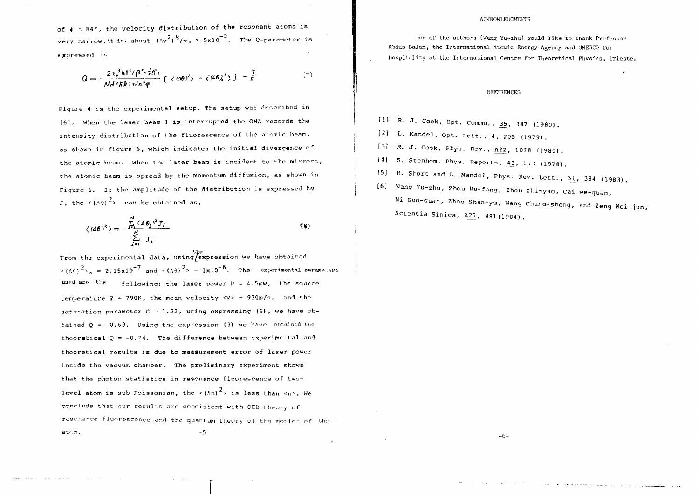of  $\phi \sim 84^{\circ}$ , the velocity distribution of the resonant atoms is very narrow, it is, about  $(\Delta v^2)^{\frac{1}{2}}/v_0 \sim 5 \times 10^{-2}$ . The Q-parameter is expressed ns

$$
Q = \frac{2 v_0^3 M^3 (\beta^2 + \frac{1}{2} \pi^2)}{N d / (R k) s c n^2 \varphi} \left[ \langle \langle \omega \theta \rangle^2 \rangle - \langle \langle \omega \theta \rangle^2 \rangle \right] - \frac{7}{5} \tag{7}
$$

Fiqure 4 is the experimental setup. The setup was described in [6], When the laser beam 1 is interrupted the OMA records the intensity distribution of the fluorescence of the atomic beam, as shown in figure 5, which indicates the initial divergence of the atomic beam. When the laser beam is incident to the mirrors, the atomic beam is spread by the momentum diffusion, as shown in Figure 6. If the amplitude of the distribution is expressed by J, the  $\langle (A9)^2 \rangle$  can be obtained as,

$$
\langle (d\theta)^2 \rangle = \frac{\sum_{i=1}^{N} (d\theta_i)^2 J_i}{\sum_{i=1}^{N} J_i}
$$
 (8)

the<br>From the experimental data, using/expression we have obtained  $\langle (6R)^2 \rangle = 2.15x10^{-7}$  and  $\langle (6R)^2 \rangle = 1x10^{-6}$ . The experimental parameters used are the following: the laser power  $P = 4.5$ mw, the source temperature T  $\neq$  790K, the mean velocity <V> = 930m/s. and the saturation parameter  $G = 1.22$ , using expressing (6), we have obtained  $Q = -0.63$ . Using the expression (3) we have obtained the theoretical  $Q = -0.74$ . The difference between experimental and theoretical results is due to measurement error of laser power inside the vacuum chamber. The preliminary experiment shows that the photon statistics in resonance fluorescence of twolevel atom is sub-Poissonian, the  $\langle \Lambda n \rangle^2$  is less than  $\langle n \rangle$ . We conclude that our results are consistent with QED theory of resonance fluorescence and the quantum theory of tho motion of the.  $\mathsf{atom}$ .  $\mathsf{---}$ 

## ACKHOWLEDGMENTS

One of the authors (Wang Yu-zhu) would like to thank Professor Abdus Salam, the International Atomic Energy Agency and UNESCO for hospitality<sup>a</sup> t the International Centre for Theoretical Physics, Trieste.

## REFERENCES

- **[ 1 ]** R. J . Cook , Opt . Commu. , 35 , **347** (1980) .
- (2) L. Mandel, Opt. Lett., 4, 205 (1979).
- [3] R. J. Cook, Phys. Rev., A22, 1078 (1980).
- $(4)$  S. Stenhom, Phys. Reports,  $43$ , 153 (1978).
- [5] R. Short and L. Mandel, Phys. Rev. Lett., 51, 384 (1983).

-6-

[6] Wang Yu-zhu, Zhou Ru-fang, Zhou Zhi-yao, Cai we-quan, Ni Guo-quan, Zhou Shan-yu, Wang Chang-sheng, and Zeng Wei-jun, Scientia Sinica, A27, 881(1984).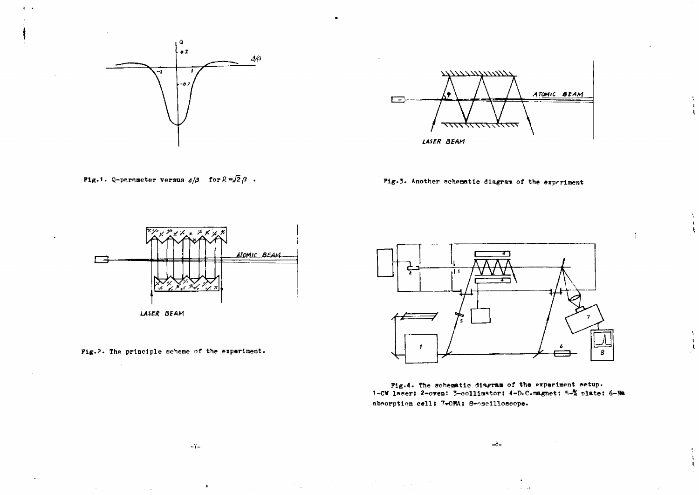

 $\mathbf{R}=\mathbf{r}$ 



**Fig.1.** Q-parameter versus  $d/\beta$  for  $\beta = \sqrt{2} \beta$ .

Fig. 3. Another schematic diagram of the experiment



LASER BEAM

 $\sim 10^{11}$  km

Fig.2. The principle scheme of the experiment.



Fig.4. The schematic diagram of the experiment setup. 1-CW laser: 2-oven: 3-collimator: 4-D.C.magnet: 5-X plate: 6-Na absorption cell; 7-OMA; 8-oscilloscope.

 $-8-$ 

 $\sigma = \pm 1$ 

 $\label{eq:2.1} \mathcal{L}^{\mathcal{A}}_{\mathcal{A}}(\mathcal{A})=\mathcal{L}^{\mathcal{A}}_{\mathcal{A}}(\mathcal{A})=\mathcal{L}^{\mathcal{A}}_{\mathcal{A}}(\mathcal{A})=\mathcal{L}^{\mathcal{A}}_{\mathcal{A}}(\mathcal{A})=\mathcal{L}^{\mathcal{A}}_{\mathcal{A}}(\mathcal{A})=\mathcal{L}^{\mathcal{A}}_{\mathcal{A}}(\mathcal{A})$ 

 $\mathcal{A}_{\mathcal{A}}$ 

 $\mathbf{r}$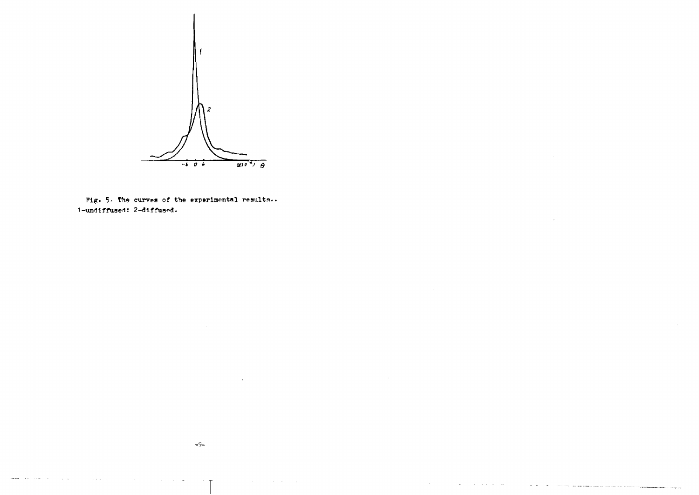

Fig. 5. The curves of the experimental results.. 1-undiffused: 2-diffused.

 $\mathbf{r}$ 

 $\sim$ 

 $\sim$   $\sim$ 

.<br>1999 - Paul Barnett, maria antzera magazinar